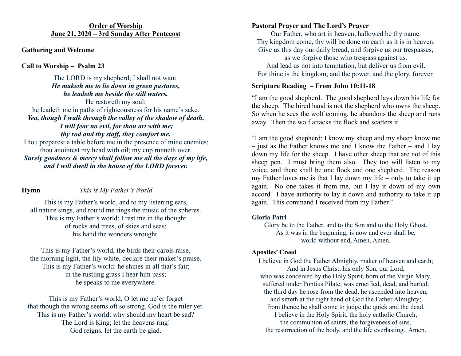#### **Order of Worship June 21, 2020 – 3rd Sunday After Pentecost**

## **Gathering and Welcome**

## **Call to Worship – Psalm 23**

The LORD is my shepherd; I shall not want. *He maketh me to lie down in green pastures, he leadeth me beside the still waters.* He restoreth my soul; he leadeth me in paths of righteousness for his name's sake. *Yea, though I walk through the valley of the shadow of death, I will fear no evil, for thou art with me; thy rod and thy staff, they comfort me.* Thou preparest a table before me in the presence of mine enemies; thou anointest my head with oil; my cup runneth over.

*Surely goodness & mercy shall follow me all the days of my life, and I will dwell in the house of the LORD forever.*

# **Hymn** *This is My Father's World*

This is my Father's world, and to my listening ears, all nature sings, and round me rings the music of the spheres. This is my Father's world: I rest me in the thought of rocks and trees, of skies and seas; his hand the wonders wrought.

This is my Father's world, the birds their carols raise, the morning light, the lily white, declare their maker's praise. This is my Father's world: he shines in all that's fair; in the rustling grass I hear him pass; he speaks to me everywhere.

This is my Father's world, O let me ne'er forget that though the wrong seems oft so strong, God is the ruler yet. This is my Father's world: why should my heart be sad? The Lord is King; let the heavens ring! God reigns, let the earth be glad.

### **Pastoral Prayer and The Lord's Prayer**

Our Father, who art in heaven, hallowed be thy name. Thy kingdom come, thy will be done on earth as it is in heaven. Give us this day our daily bread, and forgive us our trespasses,

as we forgive those who trespass against us. And lead us not into temptation, but deliver us from evil. For thine is the kingdom, and the power, and the glory, forever.

## **Scripture Reading – From John 10:11-18**

"I am the good shepherd. The good shepherd lays down his life for the sheep. The hired hand is not the shepherd who owns the sheep. So when he sees the wolf coming, he abandons the sheep and runs away. Then the wolf attacks the flock and scatters it.

"I am the good shepherd; I know my sheep and my sheep know me – just as the Father knows me and I know the Father – and I lay down my life for the sheep. I have other sheep that are not of this sheep pen. I must bring them also. They too will listen to my voice, and there shall be one flock and one shepherd. The reason my Father loves me is that I lay down my life – only to take it up again. No one takes it from me, but I lay it down of my own accord. I have authority to lay it down and authority to take it up again. This command I received from my Father."

### **Gloria Patri**

Glory be to the Father, and to the Son and to the Holy Ghost. As it was in the beginning, is now and ever shall be, world without end, Amen, Amen.

### **Apostles' Creed**

I believe in God the Father Almighty, maker of heaven and earth; And in Jesus Christ, his only Son, our Lord, who was conceived by the Holy Spirit, born of the Virgin Mary, suffered under Pontius Pilate, was crucified, dead, and buried; the third day he rose from the dead, he ascended into heaven, and sitteth at the right hand of God the Father Almighty; from thence he shall come to judge the quick and the dead. I believe in the Holy Spirit, the holy catholic Church, the communion of saints, the forgiveness of sins, the resurrection of the body, and the life everlasting. Amen.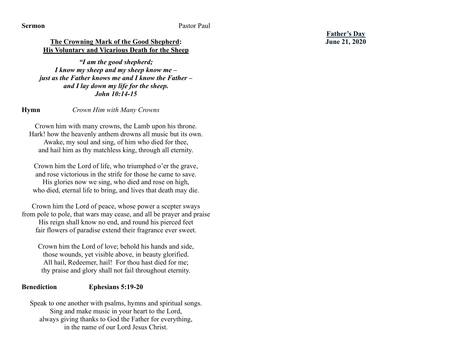### **The Crowning Mark of the Good Shepherd: His Voluntary and Vicarious Death for the Sheep**

*"I am the good shepherd; I know my sheep and my sheep know me – just as the Father knows me and I know the Father – and I lay down my life for the sheep. John 10:14-15*

#### **Hymn** *Crown Him with Many Crowns*

Crown him with many crowns, the Lamb upon his throne. Hark! how the heavenly anthem drowns all music but its own. Awake, my soul and sing, of him who died for thee, and hail him as thy matchless king, through all eternity.

Crown him the Lord of life, who triumphed o'er the grave, and rose victorious in the strife for those he came to save.

His glories now we sing, who died and rose on high, who died, eternal life to bring, and lives that death may die.

Crown him the Lord of peace, whose power a scepter sways from pole to pole, that wars may cease, and all be prayer and praise His reign shall know no end, and round his pierced feet fair flowers of paradise extend their fragrance ever sweet.

Crown him the Lord of love; behold his hands and side, those wounds, yet visible above, in beauty glorified. All hail, Redeemer, hail! For thou hast died for me; thy praise and glory shall not fail throughout eternity.

### **Benediction Ephesians 5:19-20**

Speak to one another with psalms, hymns and spiritual songs. Sing and make music in your heart to the Lord, always giving thanks to God the Father for everything, in the name of our Lord Jesus Christ.

**Father's Day June 21, 2020**